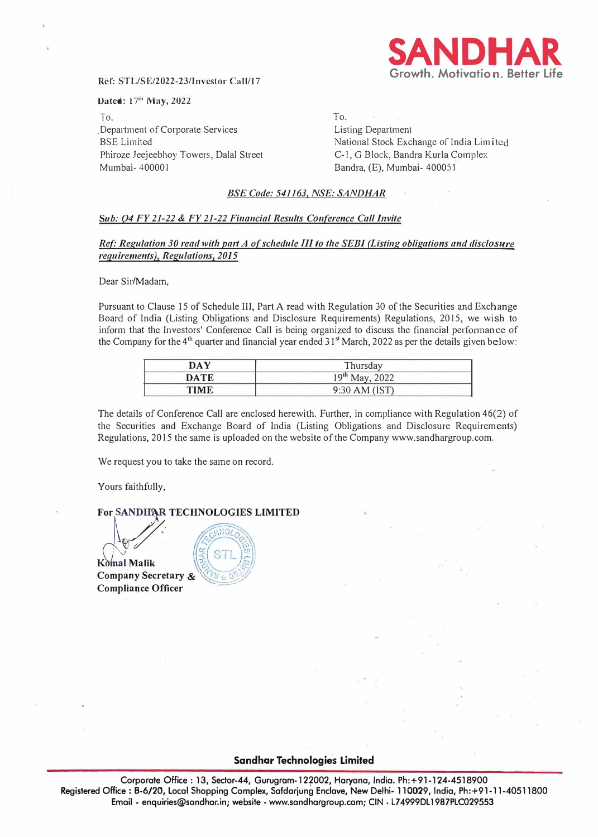

#### **Ref: STL/SE/2022-23/Investor Call/17**

#### **Dated:** 17th **May,** 2022

To, Department of Corporate Services BSE Limited Phiroze Jeejeebhoy Towers, Dalal Street Mumbai- 40000 I

To, Listing Department National Stock Exchange of India Limited C-1, G Block, Bandra Kurla Complex Bandra, (E), Mumbai- 40005 I

### *BSE Code: 541163, NSE: SANDHAR*

#### *Sub: 04 FY 21-22* **&** *FY 21-22 Financial Results Conference Call Invite*

#### *Ref: Regulation 30 read with part A of schedule III to the SEBI (Listing obligations and disclosure requirements), Regulations, 2015*

Dear Sir/Madam,

Pursuant to Clause 15 of Schedule III, Part A read with Regulation 30 of the Securities and Exchange Board of India (Listing Obligations and Disclosure Requirements) Regulations, 2015, we wish to inform that the Investors' Conference Call is being organized to discuss the financial perfonnance of the Company for the 4'" quarter and financial year ended 31**st** March, 2022 as per the details given below:

| DAY         | Thursday            |
|-------------|---------------------|
| <b>DATE</b> | $19^{th}$ May, 2022 |
| TIME        | 9:30 AM (IST)       |

The details of Conference Call are enclosed herewith. Further, in compliance with Regulation 46(2) of the Securities and Exchange Board of India (Listing Obligations and Disclosure Requirements) Regulations, 2015 the same is uploaded on the website of the Company www.sandhargroup.com.

We request you to take the same on record.

Yours faithfully,

# **For SANDHAR TECHNOLOGIES LIMITED**

**K**omal Malik **Company Secretary & Compliance Officer** 



#### **Sandhar Technologies Limited**